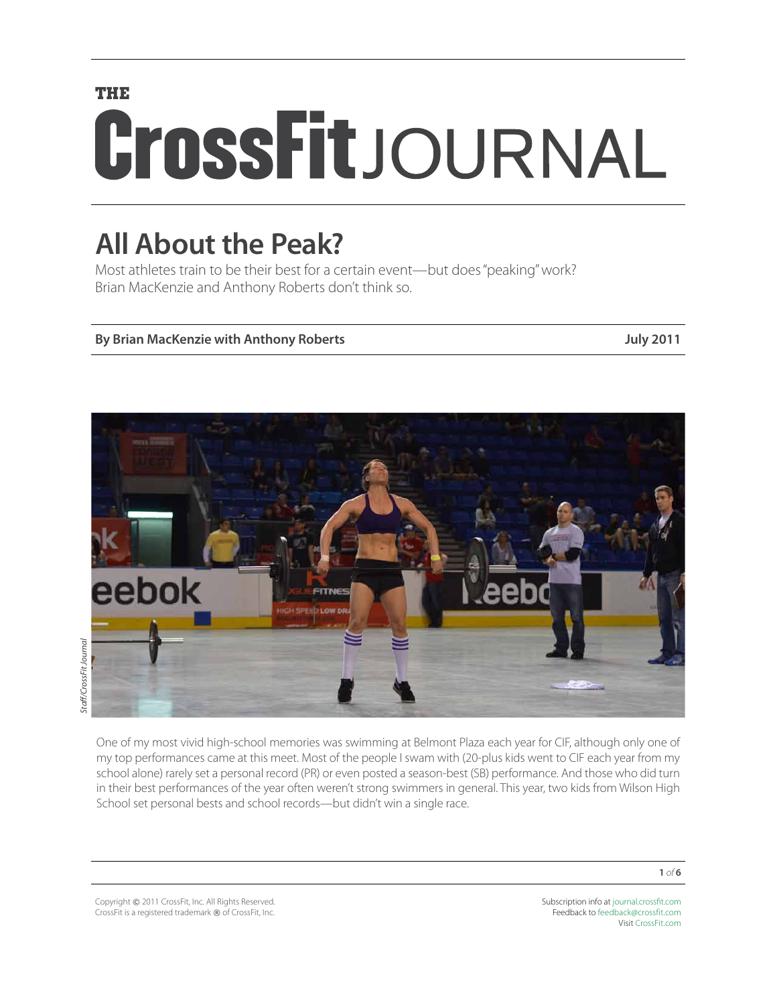# **THE** CrossFitJOURNAL

# **All About the Peak?**

Most athletes train to be their best for a certain event—but does "peaking" work? Brian MacKenzie and Anthony Roberts don't think so.

# **By Brian MacKenzie with Anthony Roberts July 2011**



One of my most vivid high-school memories was swimming at Belmont Plaza each year for CIF, although only one of my top performances came at this meet. Most of the people I swam with (20-plus kids went to CIF each year from my school alone) rarely set a personal record (PR) or even posted a season-best (SB) performance. And those who did turn in their best performances of the year often weren't strong swimmers in general. This year, two kids from Wilson High School set personal bests and school records—but didn't win a single race.

Copyright © 2011 CrossFit, Inc. All Rights Reserved. CrossFit is a registered trademark ® of CrossFit, Inc. Subscription info at [journal.crossfit.com](http://journal.crossfit.com) Feedback to [feedback@crossfit.com](mailto:feedback@crossfit.com) Visit [CrossFit.com](http://www.crossfit.com)

**1** *of* **6**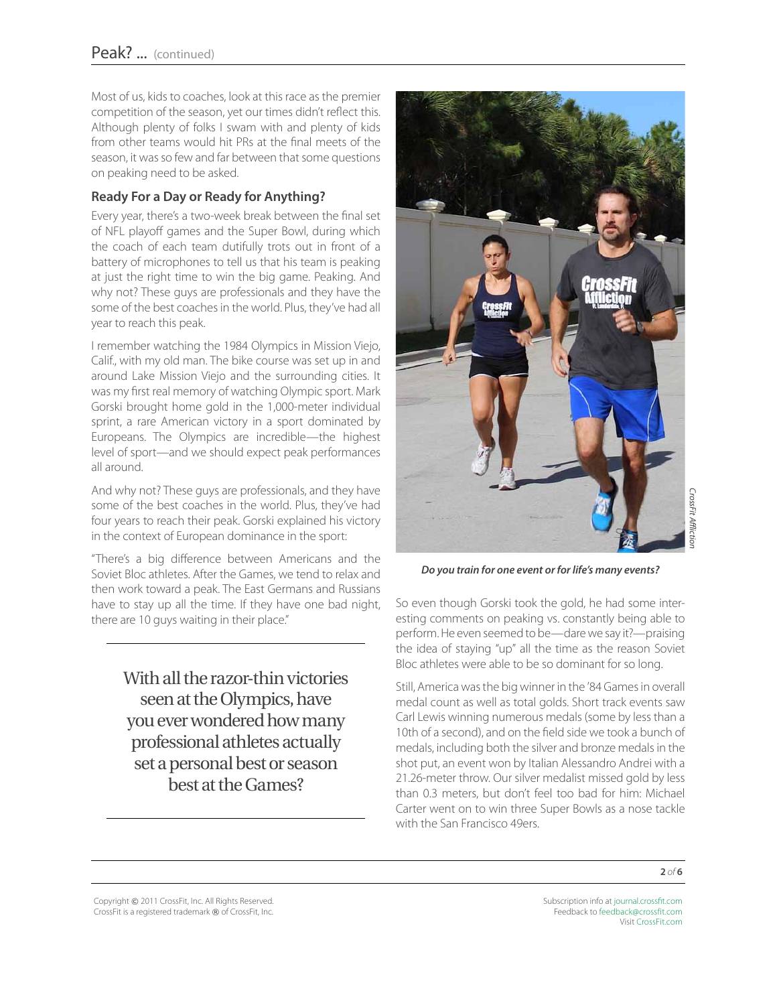Most of us, kids to coaches, look at this race as the premier competition of the season, yet our times didn't reflect this. Although plenty of folks I swam with and plenty of kids from other teams would hit PRs at the final meets of the season, it was so few and far between that some questions on peaking need to be asked.

# **Ready For a Day or Ready for Anything?**

Every year, there's a two-week break between the final set of NFL playoff games and the Super Bowl, during which the coach of each team dutifully trots out in front of a battery of microphones to tell us that his team is peaking at just the right time to win the big game. Peaking. And why not? These guys are professionals and they have the some of the best coaches in the world. Plus, they've had all year to reach this peak.

I remember watching the 1984 Olympics in Mission Viejo, Calif., with my old man. The bike course was set up in and around Lake Mission Viejo and the surrounding cities. It was my first real memory of watching Olympic sport. Mark Gorski brought home gold in the 1,000-meter individual sprint, a rare American victory in a sport dominated by Europeans. The Olympics are incredible—the highest level of sport—and we should expect peak performances all around.

And why not? These guys are professionals, and they have some of the best coaches in the world. Plus, they've had four years to reach their peak. Gorski explained his victory in the context of European dominance in the sport:

"There's a big difference between Americans and the Soviet Bloc athletes. After the Games, we tend to relax and then work toward a peak. The East Germans and Russians have to stay up all the time. If they have one bad night, there are 10 guys waiting in their place."

> With all the razor-thin victories seen at the Olympics, have you ever wondered how many professional athletes actually set a personal best or season best at the Games?



*Do you train for one event or for life's many events?*

So even though Gorski took the gold, he had some interesting comments on peaking vs. constantly being able to perform. He even seemed to be—dare we say it?—praising the idea of staying "up" all the time as the reason Soviet Bloc athletes were able to be so dominant for so long.

Still, America was the big winner in the '84 Games in overall medal count as well as total golds. Short track events saw Carl Lewis winning numerous medals (some by less than a 10th of a second), and on the field side we took a bunch of medals, including both the silver and bronze medals in the shot put, an event won by Italian Alessandro Andrei with a 21.26-meter throw. Our silver medalist missed gold by less than 0.3 meters, but don't feel too bad for him: Michael Carter went on to win three Super Bowls as a nose tackle with the San Francisco 49ers.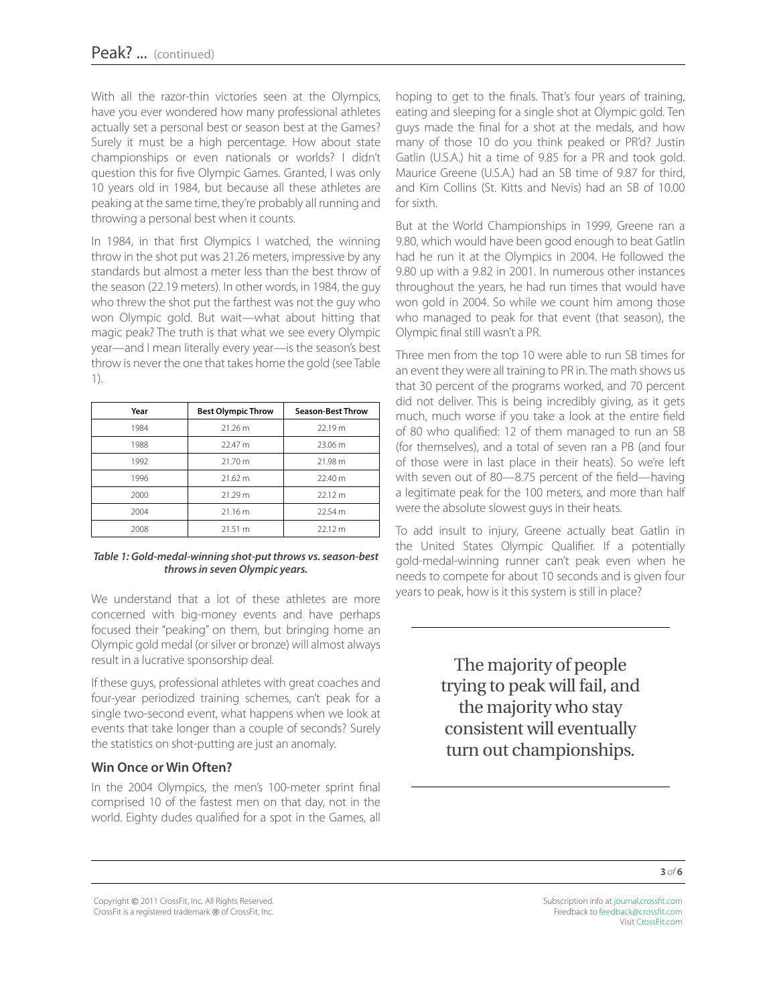With all the razor-thin victories seen at the Olympics, have you ever wondered how many professional athletes actually set a personal best or season best at the Games? Surely it must be a high percentage. How about state championships or even nationals or worlds? I didn't question this for five Olympic Games. Granted, I was only 10 years old in 1984, but because all these athletes are peaking at the same time, they're probably all running and throwing a personal best when it counts.

In 1984, in that first Olympics I watched, the winning throw in the shot put was 21.26 meters, impressive by any standards but almost a meter less than the best throw of the season (22.19 meters). In other words, in 1984, the guy who threw the shot put the farthest was not the guy who won Olympic gold. But wait—what about hitting that magic peak? The truth is that what we see every Olympic year—and I mean literally every year—is the season's best throw is never the one that takes home the gold (see Table 1).

| Year | <b>Best Olympic Throw</b> | <b>Season-Best Throw</b> |
|------|---------------------------|--------------------------|
| 1984 | 21.26 m                   | 22.19 m                  |
| 1988 | 22.47 m                   | 23.06 m                  |
| 1992 | 21.70 m                   | 21.98 m                  |
| 1996 | 21.62 m                   | 22.40 m                  |
| 2000 | 21.29 m                   | 22.12 m                  |
| 2004 | 21.16 m                   | 22.54 m                  |
| 2008 | 21.51 m                   | 22.12 m                  |

#### *Table 1: Gold-medal-winning shot-put throws vs. season-best throws in seven Olympic years.*

We understand that a lot of these athletes are more concerned with big-money events and have perhaps focused their "peaking" on them, but bringing home an Olympic gold medal (or silver or bronze) will almost always result in a lucrative sponsorship deal.

If these guys, professional athletes with great coaches and four-year periodized training schemes, can't peak for a single two-second event, what happens when we look at events that take longer than a couple of seconds? Surely the statistics on shot-putting are just an anomaly.

# **Win Once or Win Often?**

In the 2004 Olympics, the men's 100-meter sprint final comprised 10 of the fastest men on that day, not in the world. Eighty dudes qualified for a spot in the Games, all

hoping to get to the finals. That's four years of training, eating and sleeping for a single shot at Olympic gold. Ten guys made the final for a shot at the medals, and how many of those 10 do you think peaked or PR'd? Justin Gatlin (U.S.A.) hit a time of 9.85 for a PR and took gold. Maurice Greene (U.S.A.) had an SB time of 9.87 for third, and Kim Collins (St. Kitts and Nevis) had an SB of 10.00 for sixth.

But at the World Championships in 1999, Greene ran a 9.80, which would have been good enough to beat Gatlin had he run it at the Olympics in 2004. He followed the 9.80 up with a 9.82 in 2001. In numerous other instances throughout the years, he had run times that would have won gold in 2004. So while we count him among those who managed to peak for that event (that season), the Olympic final still wasn't a PR.

Three men from the top 10 were able to run SB times for an event they were all training to PR in. The math shows us that 30 percent of the programs worked, and 70 percent did not deliver. This is being incredibly giving, as it gets much, much worse if you take a look at the entire field of 80 who qualified: 12 of them managed to run an SB (for themselves), and a total of seven ran a PB (and four of those were in last place in their heats). So we're left with seven out of 80—8.75 percent of the field—having a legitimate peak for the 100 meters, and more than half were the absolute slowest guys in their heats.

To add insult to injury, Greene actually beat Gatlin in the United States Olympic Qualifier. If a potentially gold-medal-winning runner can't peak even when he needs to compete for about 10 seconds and is given four years to peak, how is it this system is still in place?

> The majority of people trying to peak will fail, and the majority who stay consistent will eventually turn out championships.

Copyright © 2011 CrossFit, Inc. All Rights Reserved. CrossFit is a registered trademark ® of CrossFit, Inc.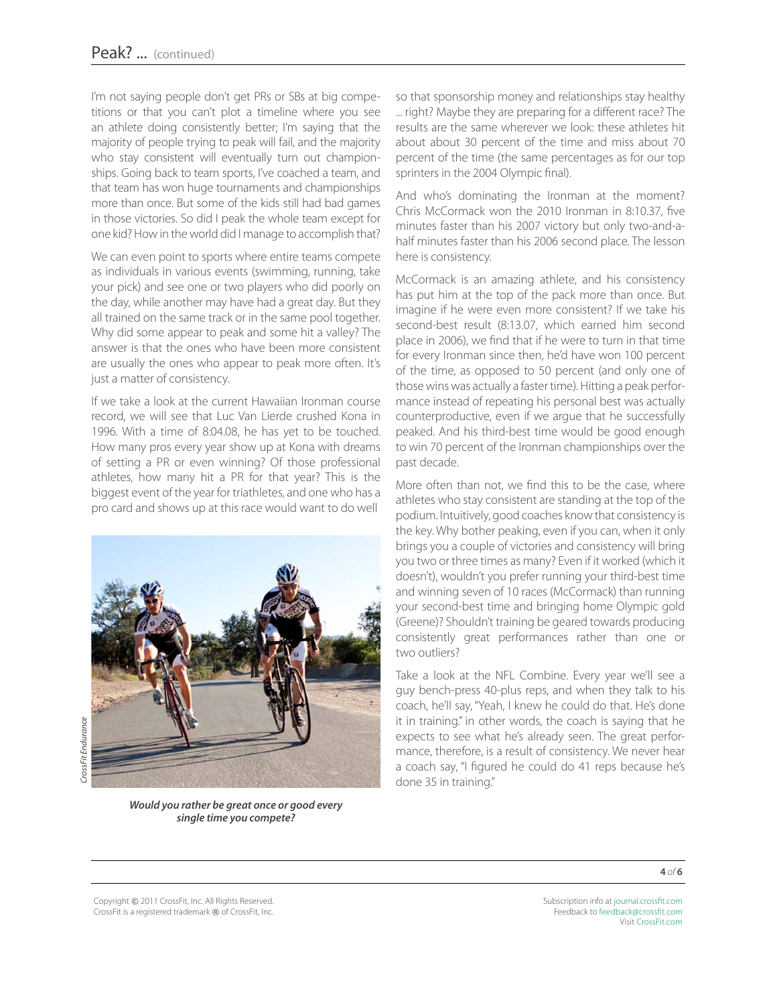I'm not saying people don't get PRs or SBs at big competitions or that you can't plot a timeline where you see an athlete doing consistently better; I'm saying that the majority of people trying to peak will fail, and the majority who stay consistent will eventually turn out championships. Going back to team sports, I've coached a team, and that team has won huge tournaments and championships more than once. But some of the kids still had bad games in those victories. So did I peak the whole team except for one kid? How in the world did I manage to accomplish that?

We can even point to sports where entire teams compete as individuals in various events (swimming, running, take your pick) and see one or two players who did poorly on the day, while another may have had a great day. But they all trained on the same track or in the same pool together. Why did some appear to peak and some hit a valley? The answer is that the ones who have been more consistent are usually the ones who appear to peak more often. It's just a matter of consistency.

If we take a look at the current Hawaiian Ironman course record, we will see that Luc Van Lierde crushed Kona in 1996. With a time of 8:04.08, he has yet to be touched. How many pros every year show up at Kona with dreams of setting a PR or even winning? Of those professional athletes, how many hit a PR for that year? This is the biggest event of the year for triathletes, and one who has a pro card and shows up at this race would want to do well



CrossFit Endurance *CrossFit Endurance*

*Would you rather be great once or good every single time you compete?*

so that sponsorship money and relationships stay healthy ... right? Maybe they are preparing for a different race? The results are the same wherever we look: these athletes hit about about 30 percent of the time and miss about 70 percent of the time (the same percentages as for our top sprinters in the 2004 Olympic final).

And who's dominating the Ironman at the moment? Chris McCormack won the 2010 Ironman in 8:10.37, five minutes faster than his 2007 victory but only two-and-ahalf minutes faster than his 2006 second place. The lesson here is consistency.

McCormack is an amazing athlete, and his consistency has put him at the top of the pack more than once. But imagine if he were even more consistent? If we take his second-best result (8:13.07, which earned him second place in 2006), we find that if he were to turn in that time for every Ironman since then, he'd have won 100 percent of the time, as opposed to 50 percent (and only one of those wins was actually a faster time). Hitting a peak performance instead of repeating his personal best was actually counterproductive, even if we argue that he successfully peaked. And his third-best time would be good enough to win 70 percent of the Ironman championships over the past decade.

More often than not, we find this to be the case, where athletes who stay consistent are standing at the top of the podium. Intuitively, good coaches know that consistency is the key. Why bother peaking, even if you can, when it only brings you a couple of victories and consistency will bring you two or three times as many? Even if it worked (which it doesn't), wouldn't you prefer running your third-best time and winning seven of 10 races (McCormack) than running your second-best time and bringing home Olympic gold (Greene)? Shouldn't training be geared towards producing consistently great performances rather than one or two outliers?

Take a look at the NFL Combine. Every year we'll see a guy bench-press 40-plus reps, and when they talk to his coach, he'll say, "Yeah, I knew he could do that. He's done it in training." in other words, the coach is saying that he expects to see what he's already seen. The great performance, therefore, is a result of consistency. We never hear a coach say, "I figured he could do 41 reps because he's done 35 in training."

**4** *of* **6**

Copyright © 2011 CrossFit, Inc. All Rights Reserved. CrossFit is a registered trademark ® of CrossFit, Inc.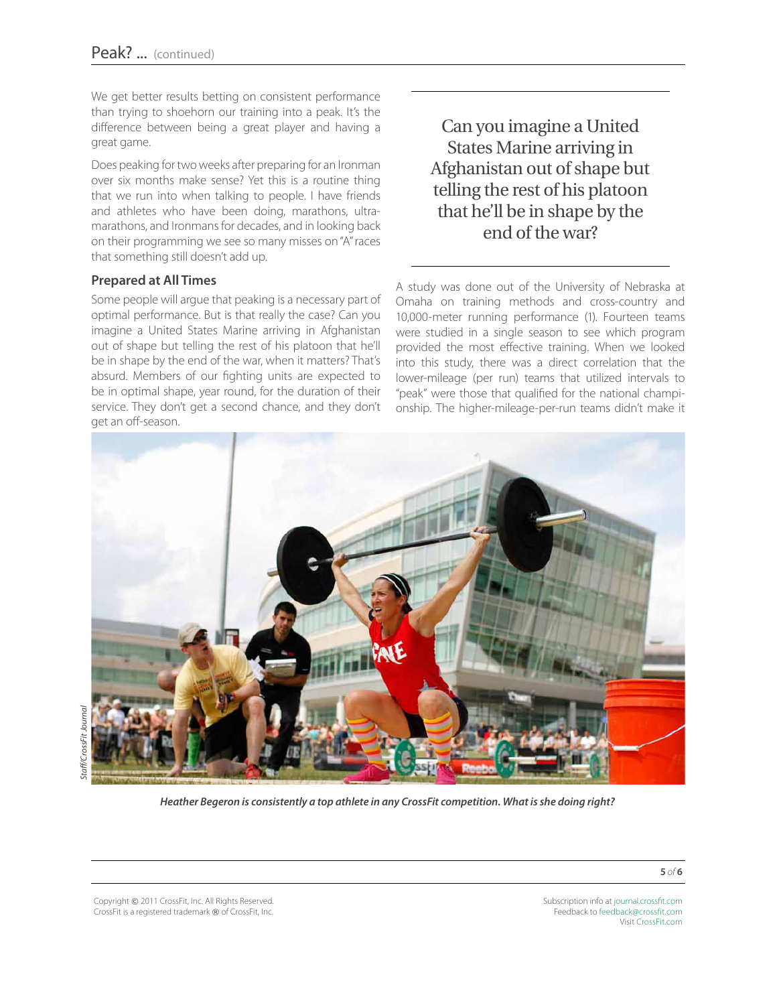We get better results betting on consistent performance than trying to shoehorn our training into a peak. It's the difference between being a great player and having a great game.

Does peaking for two weeks after preparing for an Ironman over six months make sense? Yet this is a routine thing that we run into when talking to people. I have friends and athletes who have been doing, marathons, ultramarathons, and Ironmans for decades, and in looking back on their programming we see so many misses on "A" races that something still doesn't add up.

# **Prepared at All Times**

Some people will argue that peaking is a necessary part of optimal performance. But is that really the case? Can you imagine a United States Marine arriving in Afghanistan out of shape but telling the rest of his platoon that he'll be in shape by the end of the war, when it matters? That's absurd. Members of our fighting units are expected to be in optimal shape, year round, for the duration of their service. They don't get a second chance, and they don't get an off-season.

Can you imagine a United States Marine arriving in Afghanistan out of shape but telling the rest of his platoon that he'll be in shape by the end of the war?

A study was done out of the University of Nebraska at Omaha on training methods and cross-country and 10,000-meter running performance (1). Fourteen teams were studied in a single season to see which program provided the most effective training. When we looked into this study, there was a direct correlation that the lower-mileage (per run) teams that utilized intervals to "peak" were those that qualified for the national championship. The higher-mileage-per-run teams didn't make it



*Heather Begeron is consistently a top athlete in any CrossFit competition. What is she doing right?*

Copyright © 2011 CrossFit, Inc. All Rights Reserved. CrossFit is a registered trademark ® of CrossFit, Inc. Subscription info at [journal.crossfit.com](http://journal.crossfit.com) Feedback to [feedback@crossfit.com](mailto:feedback@crossfit.com) Visit [CrossFit.com](http://www.westside-barbell.com/)

**5** *of* **6**